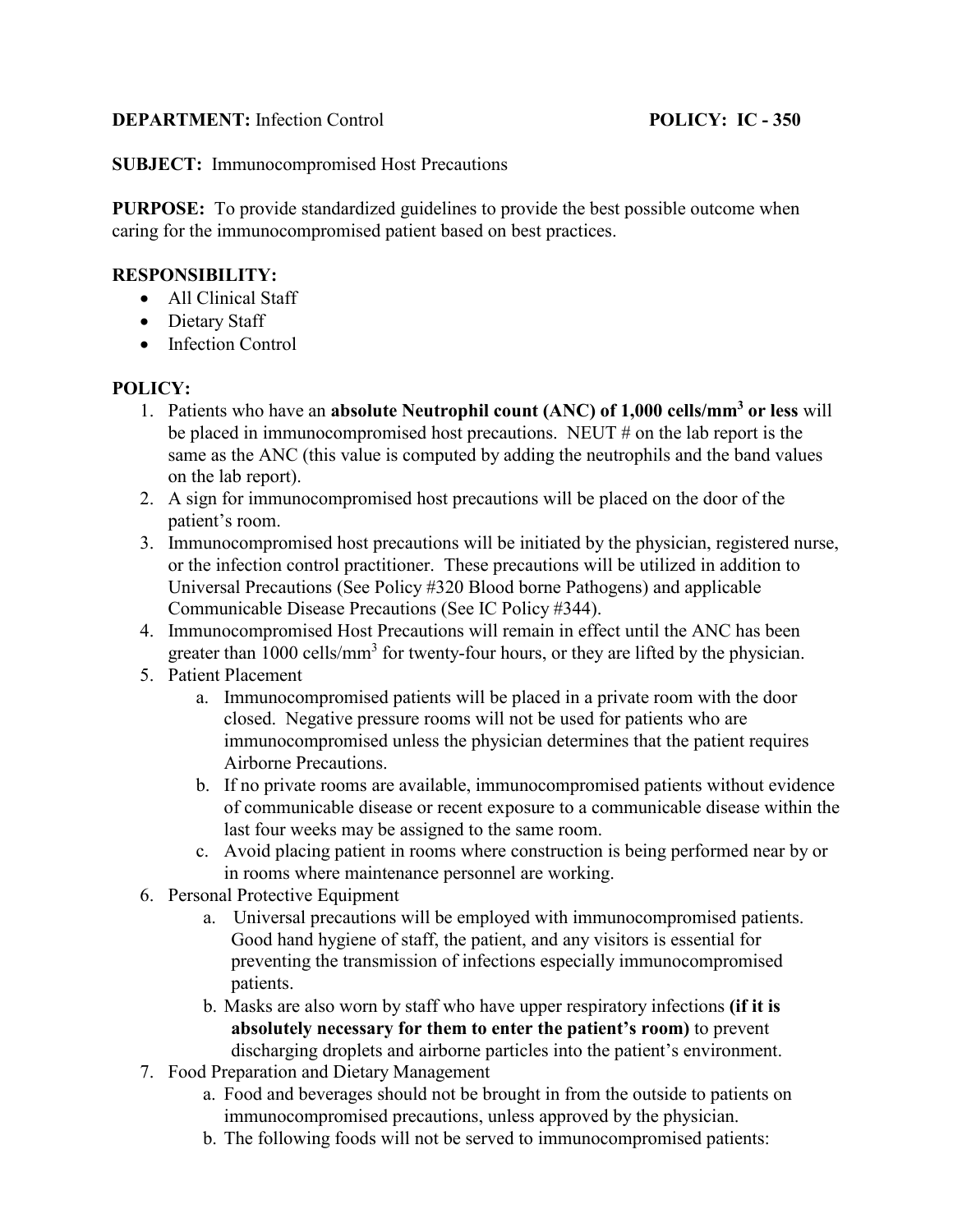## **DEPARTMENT:** Infection Control **POLICY: IC - 350**

**SUBJECT:** Immunocompromised Host Precautions

**PURPOSE:** To provide standardized guidelines to provide the best possible outcome when caring for the immunocompromised patient based on best practices.

### **RESPONSIBILITY:**

- All Clinical Staff
- Dietary Staff
- Infection Control

#### **POLICY:**

- 1. Patients who have an **absolute Neutrophil count (ANC) of 1,000 cells/mm<sup>3</sup> or less** will be placed in immunocompromised host precautions. NEUT # on the lab report is the same as the ANC (this value is computed by adding the neutrophils and the band values on the lab report).
- 2. A sign for immunocompromised host precautions will be placed on the door of the patient's room.
- 3. Immunocompromised host precautions will be initiated by the physician, registered nurse, or the infection control practitioner. These precautions will be utilized in addition to Universal Precautions (See Policy #320 Blood borne Pathogens) and applicable Communicable Disease Precautions (See IC Policy #344).
- 4. Immunocompromised Host Precautions will remain in effect until the ANC has been greater than 1000 cells/mm<sup>3</sup> for twenty-four hours, or they are lifted by the physician.
- 5. Patient Placement
	- a. Immunocompromised patients will be placed in a private room with the door closed. Negative pressure rooms will not be used for patients who are immunocompromised unless the physician determines that the patient requires Airborne Precautions.
	- b. If no private rooms are available, immunocompromised patients without evidence of communicable disease or recent exposure to a communicable disease within the last four weeks may be assigned to the same room.
	- c. Avoid placing patient in rooms where construction is being performed near by or in rooms where maintenance personnel are working.
- 6. Personal Protective Equipment
	- a. Universal precautions will be employed with immunocompromised patients. Good hand hygiene of staff, the patient, and any visitors is essential for preventing the transmission of infections especially immunocompromised patients.
	- b. Masks are also worn by staff who have upper respiratory infections **(if it is absolutely necessary for them to enter the patient's room)** to prevent discharging droplets and airborne particles into the patient's environment.
- 7. Food Preparation and Dietary Management
	- a. Food and beverages should not be brought in from the outside to patients on immunocompromised precautions, unless approved by the physician.
	- b. The following foods will not be served to immunocompromised patients: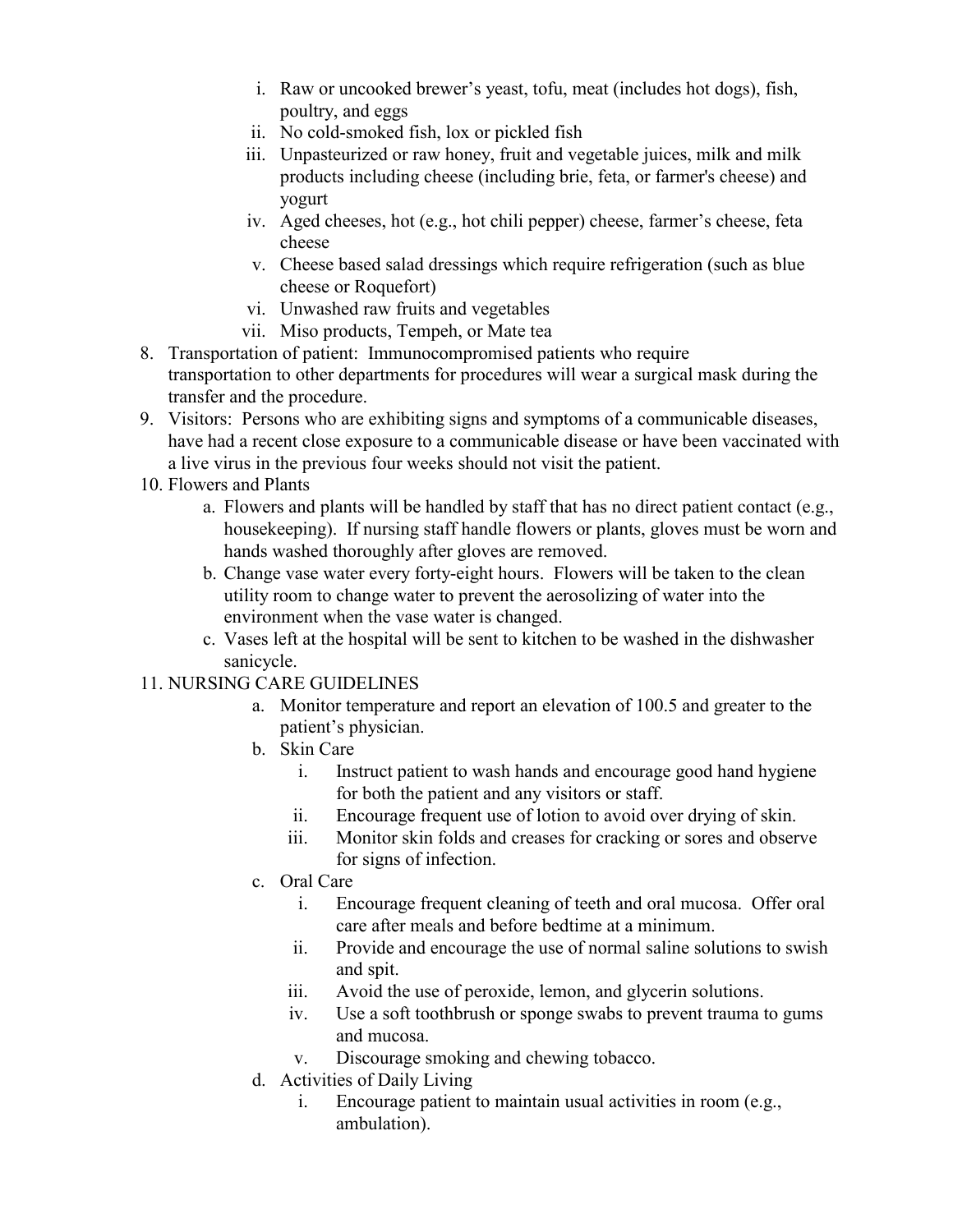- i. Raw or uncooked brewer's yeast, tofu, meat (includes hot dogs), fish, poultry, and eggs
- ii. No cold-smoked fish, lox or pickled fish
- iii. Unpasteurized or raw honey, fruit and vegetable juices, milk and milk products including cheese (including brie, feta, or farmer's cheese) and yogurt
- iv. Aged cheeses, hot (e.g., hot chili pepper) cheese, farmer's cheese, feta cheese
- v. Cheese based salad dressings which require refrigeration (such as blue cheese or Roquefort)
- vi. Unwashed raw fruits and vegetables
- vii. Miso products, Tempeh, or Mate tea
- 8. Transportation of patient: Immunocompromised patients who require transportation to other departments for procedures will wear a surgical mask during the transfer and the procedure.
- 9. Visitors: Persons who are exhibiting signs and symptoms of a communicable diseases, have had a recent close exposure to a communicable disease or have been vaccinated with a live virus in the previous four weeks should not visit the patient.
- 10. Flowers and Plants
	- a. Flowers and plants will be handled by staff that has no direct patient contact (e.g., housekeeping). If nursing staff handle flowers or plants, gloves must be worn and hands washed thoroughly after gloves are removed.
	- b. Change vase water every forty-eight hours. Flowers will be taken to the clean utility room to change water to prevent the aerosolizing of water into the environment when the vase water is changed.
	- c. Vases left at the hospital will be sent to kitchen to be washed in the dishwasher sanicycle.

# 11. NURSING CARE GUIDELINES

- a. Monitor temperature and report an elevation of 100.5 and greater to the patient's physician.
- b. Skin Care
	- i. Instruct patient to wash hands and encourage good hand hygiene for both the patient and any visitors or staff.
	- ii. Encourage frequent use of lotion to avoid over drying of skin.
	- iii. Monitor skin folds and creases for cracking or sores and observe for signs of infection.
- c. Oral Care
	- i. Encourage frequent cleaning of teeth and oral mucosa. Offer oral care after meals and before bedtime at a minimum.
	- ii. Provide and encourage the use of normal saline solutions to swish and spit.
	- iii. Avoid the use of peroxide, lemon, and glycerin solutions.
	- iv. Use a soft toothbrush or sponge swabs to prevent trauma to gums and mucosa.
	- v. Discourage smoking and chewing tobacco.
- d. Activities of Daily Living
	- i. Encourage patient to maintain usual activities in room (e.g., ambulation).